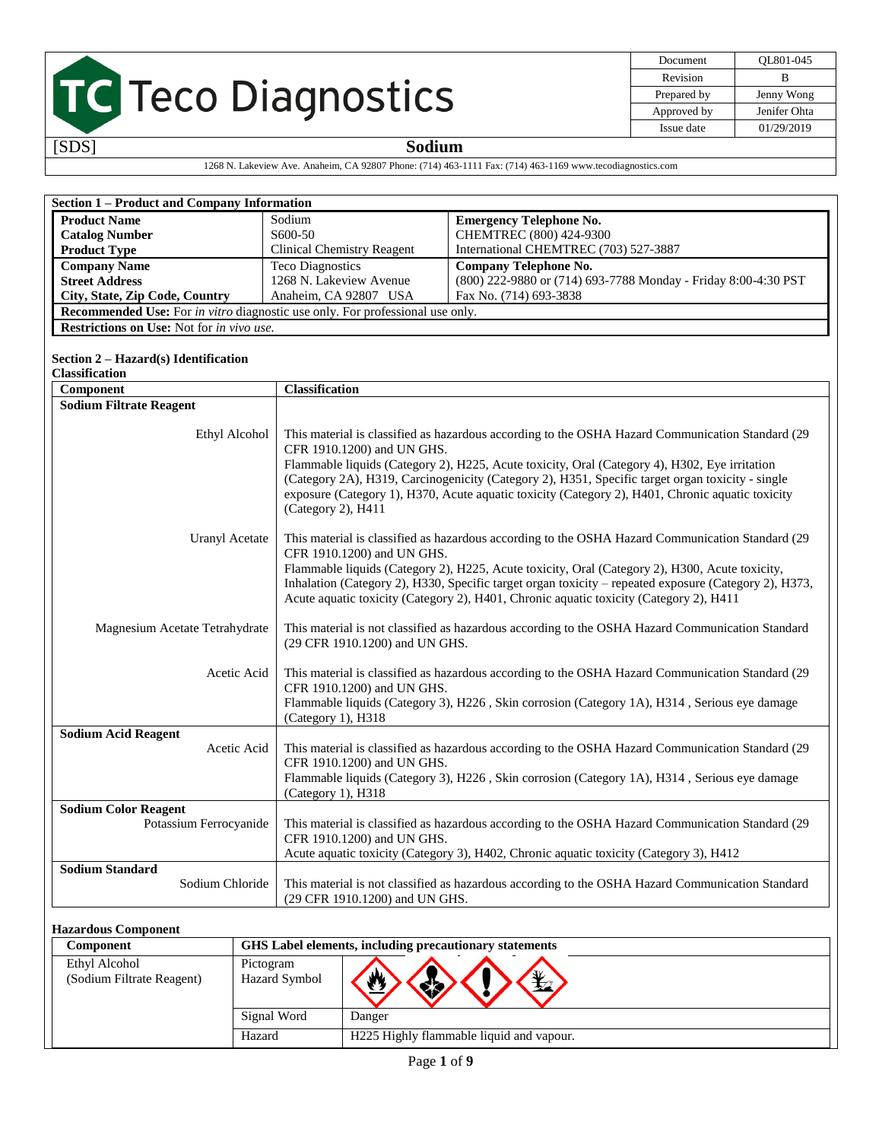| Document    | OL801-045    |
|-------------|--------------|
| Revision    | в            |
| Prepared by | Jenny Wong   |
| Approved by | Jenifer Ohta |
| Issue date  | 01/29/2019   |

### [SDS] **Sodium**

1268 N. Lakeview Ave. Anaheim, CA 92807 Phone: (714) 463-1111 Fax: (714) 463-1169 www.tecodiagnostics.com

| <b>Section 1 - Product and Company Information</b>                                   |                                                                                                                                                                                                                                                                                                                                                                                                                                     |                                                                                                                                                                                                                                                                                                                                                                                                                                         |  |  |  |
|--------------------------------------------------------------------------------------|-------------------------------------------------------------------------------------------------------------------------------------------------------------------------------------------------------------------------------------------------------------------------------------------------------------------------------------------------------------------------------------------------------------------------------------|-----------------------------------------------------------------------------------------------------------------------------------------------------------------------------------------------------------------------------------------------------------------------------------------------------------------------------------------------------------------------------------------------------------------------------------------|--|--|--|
| <b>Product Name</b>                                                                  | Sodium                                                                                                                                                                                                                                                                                                                                                                                                                              | <b>Emergency Telephone No.</b>                                                                                                                                                                                                                                                                                                                                                                                                          |  |  |  |
| <b>Catalog Number</b>                                                                | S600-50                                                                                                                                                                                                                                                                                                                                                                                                                             | CHEMTREC (800) 424-9300                                                                                                                                                                                                                                                                                                                                                                                                                 |  |  |  |
| <b>Product Type</b>                                                                  | <b>Clinical Chemistry Reagent</b>                                                                                                                                                                                                                                                                                                                                                                                                   | International CHEMTREC (703) 527-3887                                                                                                                                                                                                                                                                                                                                                                                                   |  |  |  |
| <b>Company Name</b>                                                                  | <b>Teco Diagnostics</b>                                                                                                                                                                                                                                                                                                                                                                                                             | <b>Company Telephone No.</b>                                                                                                                                                                                                                                                                                                                                                                                                            |  |  |  |
| <b>Street Address</b>                                                                | 1268 N. Lakeview Avenue                                                                                                                                                                                                                                                                                                                                                                                                             | (800) 222-9880 or (714) 693-7788 Monday - Friday 8:00-4:30 PST                                                                                                                                                                                                                                                                                                                                                                          |  |  |  |
| City, State, Zip Code, Country                                                       | Anaheim, CA 92807 USA                                                                                                                                                                                                                                                                                                                                                                                                               | Fax No. (714) 693-3838                                                                                                                                                                                                                                                                                                                                                                                                                  |  |  |  |
| <b>Recommended Use:</b> For in vitro diagnostic use only. For professional use only. |                                                                                                                                                                                                                                                                                                                                                                                                                                     |                                                                                                                                                                                                                                                                                                                                                                                                                                         |  |  |  |
| Restrictions on Use: Not for in vivo use.                                            |                                                                                                                                                                                                                                                                                                                                                                                                                                     |                                                                                                                                                                                                                                                                                                                                                                                                                                         |  |  |  |
|                                                                                      |                                                                                                                                                                                                                                                                                                                                                                                                                                     |                                                                                                                                                                                                                                                                                                                                                                                                                                         |  |  |  |
| Section $2 - Hazard(s)$ Identification                                               |                                                                                                                                                                                                                                                                                                                                                                                                                                     |                                                                                                                                                                                                                                                                                                                                                                                                                                         |  |  |  |
| Classification                                                                       |                                                                                                                                                                                                                                                                                                                                                                                                                                     |                                                                                                                                                                                                                                                                                                                                                                                                                                         |  |  |  |
| Component                                                                            | <b>Classification</b>                                                                                                                                                                                                                                                                                                                                                                                                               |                                                                                                                                                                                                                                                                                                                                                                                                                                         |  |  |  |
| <b>Sodium Filtrate Reagent</b>                                                       |                                                                                                                                                                                                                                                                                                                                                                                                                                     |                                                                                                                                                                                                                                                                                                                                                                                                                                         |  |  |  |
|                                                                                      |                                                                                                                                                                                                                                                                                                                                                                                                                                     |                                                                                                                                                                                                                                                                                                                                                                                                                                         |  |  |  |
| Ethyl Alcohol                                                                        | (Category 2), H411                                                                                                                                                                                                                                                                                                                                                                                                                  | This material is classified as hazardous according to the OSHA Hazard Communication Standard (29<br>CFR 1910.1200) and UN GHS.<br>Flammable liquids (Category 2), H225, Acute toxicity, Oral (Category 4), H302, Eye irritation<br>(Category 2A), H319, Carcinogenicity (Category 2), H351, Specific target organ toxicity - single<br>exposure (Category 1), H370, Acute aquatic toxicity (Category 2), H401, Chronic aquatic toxicity |  |  |  |
| Uranyl Acetate                                                                       | This material is classified as hazardous according to the OSHA Hazard Communication Standard (29<br>CFR 1910.1200) and UN GHS.<br>Flammable liquids (Category 2), H225, Acute toxicity, Oral (Category 2), H300, Acute toxicity,<br>Inhalation (Category 2), H330, Specific target organ toxicity - repeated exposure (Category 2), H373,<br>Acute aquatic toxicity (Category 2), H401, Chronic aquatic toxicity (Category 2), H411 |                                                                                                                                                                                                                                                                                                                                                                                                                                         |  |  |  |
| Magnesium Acetate Tetrahydrate                                                       | This material is not classified as hazardous according to the OSHA Hazard Communication Standard<br>(29 CFR 1910.1200) and UN GHS.                                                                                                                                                                                                                                                                                                  |                                                                                                                                                                                                                                                                                                                                                                                                                                         |  |  |  |
| Acetic Acid                                                                          | This material is classified as hazardous according to the OSHA Hazard Communication Standard (29<br>CFR 1910.1200) and UN GHS.<br>Flammable liquids (Category 3), H226, Skin corrosion (Category 1A), H314, Serious eye damage<br>(Category 1), H318                                                                                                                                                                                |                                                                                                                                                                                                                                                                                                                                                                                                                                         |  |  |  |
| <b>Sodium Acid Reagent</b>                                                           |                                                                                                                                                                                                                                                                                                                                                                                                                                     |                                                                                                                                                                                                                                                                                                                                                                                                                                         |  |  |  |
| Acetic Acid                                                                          | This material is classified as hazardous according to the OSHA Hazard Communication Standard (29<br>CFR 1910.1200) and UN GHS.<br>Flammable liquids (Category 3), H226, Skin corrosion (Category 1A), H314, Serious eye damage<br>(Category 1), H318                                                                                                                                                                                |                                                                                                                                                                                                                                                                                                                                                                                                                                         |  |  |  |
| <b>Sodium Color Reagent</b><br>Potassium Ferrocyanide                                | This material is classified as hazardous according to the OSHA Hazard Communication Standard (29<br>CFR 1910.1200) and UN GHS.<br>Acute aquatic toxicity (Category 3), H402, Chronic aquatic toxicity (Category 3), H412                                                                                                                                                                                                            |                                                                                                                                                                                                                                                                                                                                                                                                                                         |  |  |  |
| <b>Sodium Standard</b><br>Sodium Chloride                                            |                                                                                                                                                                                                                                                                                                                                                                                                                                     | This material is not classified as hazardous according to the OSHA Hazard Communication Standard<br>(29 CFR 1910.1200) and UN GHS.                                                                                                                                                                                                                                                                                                      |  |  |  |
|                                                                                      |                                                                                                                                                                                                                                                                                                                                                                                                                                     |                                                                                                                                                                                                                                                                                                                                                                                                                                         |  |  |  |
| <b>Hazardous Component</b><br>Component                                              | GHS Label elements, including precautionary statements                                                                                                                                                                                                                                                                                                                                                                              |                                                                                                                                                                                                                                                                                                                                                                                                                                         |  |  |  |
|                                                                                      |                                                                                                                                                                                                                                                                                                                                                                                                                                     |                                                                                                                                                                                                                                                                                                                                                                                                                                         |  |  |  |
| Ethyl Alcohol                                                                        | Pictogram                                                                                                                                                                                                                                                                                                                                                                                                                           |                                                                                                                                                                                                                                                                                                                                                                                                                                         |  |  |  |
| (Sodium Filtrate Reagent)                                                            | W)<br>Hazard Symbol                                                                                                                                                                                                                                                                                                                                                                                                                 | $\searrow$                                                                                                                                                                                                                                                                                                                                                                                                                              |  |  |  |

SS.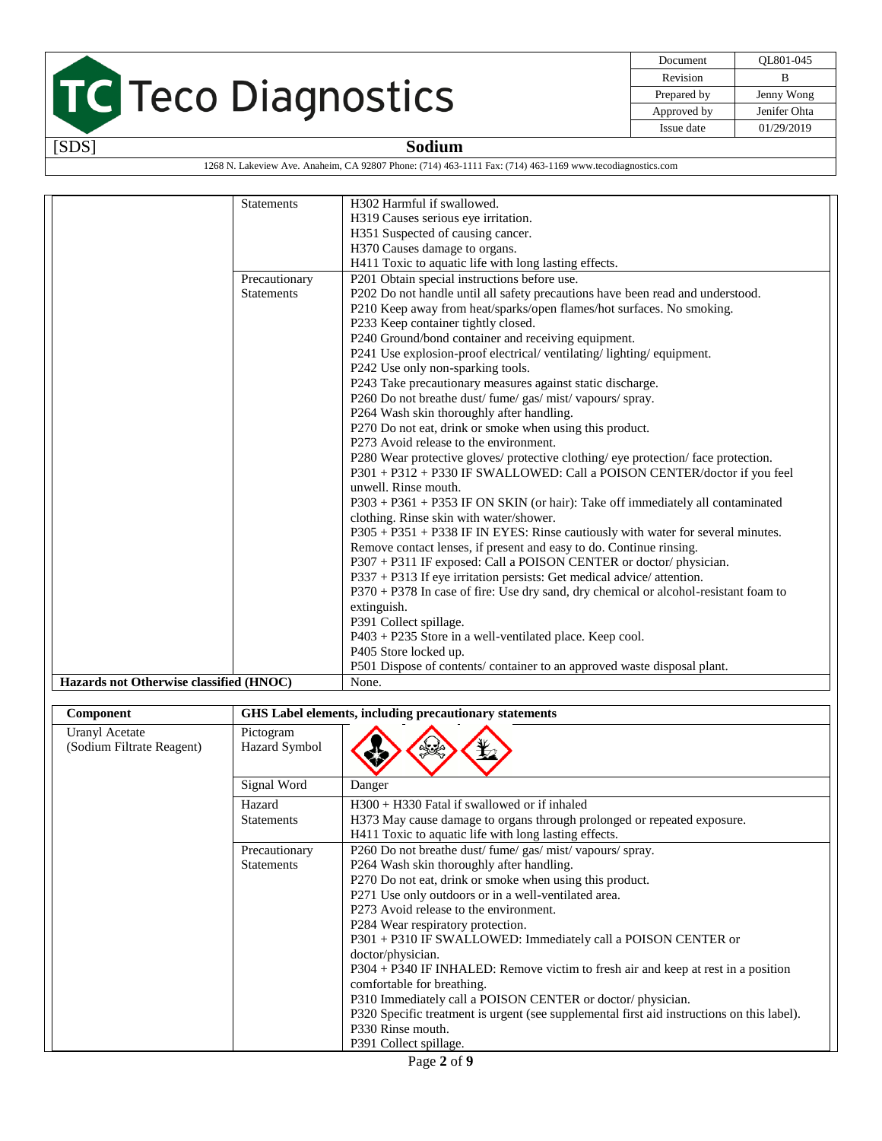

| Document    | OL801-045    |
|-------------|--------------|
| Revision    | в            |
| Prepared by | Jenny Wong   |
| Approved by | Jenifer Ohta |
| Issue date  | 01/29/2019   |

1268 N. Lakeview Ave. Anaheim, CA 92807 Phone: (714) 463-1111 Fax: (714) 463-1169 www.tecodiagnostics.com

| <b>Statements</b>                       | H302 Harmful if swallowed.                                                             |
|-----------------------------------------|----------------------------------------------------------------------------------------|
|                                         | H319 Causes serious eye irritation.                                                    |
|                                         | H351 Suspected of causing cancer.                                                      |
|                                         | H370 Causes damage to organs.                                                          |
|                                         | H411 Toxic to aquatic life with long lasting effects.                                  |
| Precautionary                           | P201 Obtain special instructions before use.                                           |
| <b>Statements</b>                       | P202 Do not handle until all safety precautions have been read and understood.         |
|                                         | P210 Keep away from heat/sparks/open flames/hot surfaces. No smoking.                  |
|                                         | P233 Keep container tightly closed.                                                    |
|                                         | P240 Ground/bond container and receiving equipment.                                    |
|                                         | P241 Use explosion-proof electrical/ventilating/lighting/equipment.                    |
|                                         | P242 Use only non-sparking tools.                                                      |
|                                         | P243 Take precautionary measures against static discharge.                             |
|                                         | P260 Do not breathe dust/fume/gas/mist/vapours/spray.                                  |
|                                         | P264 Wash skin thoroughly after handling.                                              |
|                                         | P270 Do not eat, drink or smoke when using this product.                               |
|                                         | P273 Avoid release to the environment.                                                 |
|                                         | P280 Wear protective gloves/ protective clothing/ eye protection/ face protection.     |
|                                         | P301 + P312 + P330 IF SWALLOWED: Call a POISON CENTER/doctor if you feel               |
|                                         | unwell. Rinse mouth.                                                                   |
|                                         | P303 + P361 + P353 IF ON SKIN (or hair): Take off immediately all contaminated         |
|                                         | clothing. Rinse skin with water/shower.                                                |
|                                         | P305 + P351 + P338 IF IN EYES: Rinse cautiously with water for several minutes.        |
|                                         | Remove contact lenses, if present and easy to do. Continue rinsing.                    |
|                                         | P307 + P311 IF exposed: Call a POISON CENTER or doctor/physician.                      |
|                                         | $P337 + P313$ If eye irritation persists: Get medical advice/ attention.               |
|                                         | $P370 + P378$ In case of fire: Use dry sand, dry chemical or alcohol-resistant foam to |
|                                         | extinguish.                                                                            |
|                                         | P391 Collect spillage.                                                                 |
|                                         | P403 + P235 Store in a well-ventilated place. Keep cool.                               |
|                                         | P405 Store locked up.                                                                  |
|                                         | P501 Dispose of contents/ container to an approved waste disposal plant.               |
| Hazards not Otherwise classified (HNOC) | None.                                                                                  |

| Component                                          |                            | GHS Label elements, including precautionary statements                                     |
|----------------------------------------------------|----------------------------|--------------------------------------------------------------------------------------------|
| <b>Uranyl Acetate</b><br>(Sodium Filtrate Reagent) | Pictogram<br>Hazard Symbol | ¥2<br>$\mathbb{R}$                                                                         |
|                                                    | Signal Word                | Danger                                                                                     |
|                                                    | Hazard                     | $H300 + H330$ Fatal if swallowed or if inhaled                                             |
|                                                    | <b>Statements</b>          | H373 May cause damage to organs through prolonged or repeated exposure.                    |
|                                                    |                            | H411 Toxic to aquatic life with long lasting effects.                                      |
|                                                    | Precautionary              | P260 Do not breathe dust/ fume/ gas/ mist/ vapours/ spray.                                 |
|                                                    | <b>Statements</b>          | P264 Wash skin thoroughly after handling.                                                  |
|                                                    |                            | P270 Do not eat, drink or smoke when using this product.                                   |
|                                                    |                            | P271 Use only outdoors or in a well-ventilated area.                                       |
|                                                    |                            | P273 Avoid release to the environment.                                                     |
|                                                    |                            | P284 Wear respiratory protection.                                                          |
|                                                    |                            | P301 + P310 IF SWALLOWED: Immediately call a POISON CENTER or                              |
|                                                    |                            | doctor/physician.                                                                          |
|                                                    |                            | P304 + P340 IF INHALED: Remove victim to fresh air and keep at rest in a position          |
|                                                    |                            | comfortable for breathing.                                                                 |
|                                                    |                            | P310 Immediately call a POISON CENTER or doctor/physician.                                 |
|                                                    |                            | P320 Specific treatment is urgent (see supplemental first aid instructions on this label). |
|                                                    |                            | P330 Rinse mouth.                                                                          |
|                                                    |                            | P391 Collect spillage.                                                                     |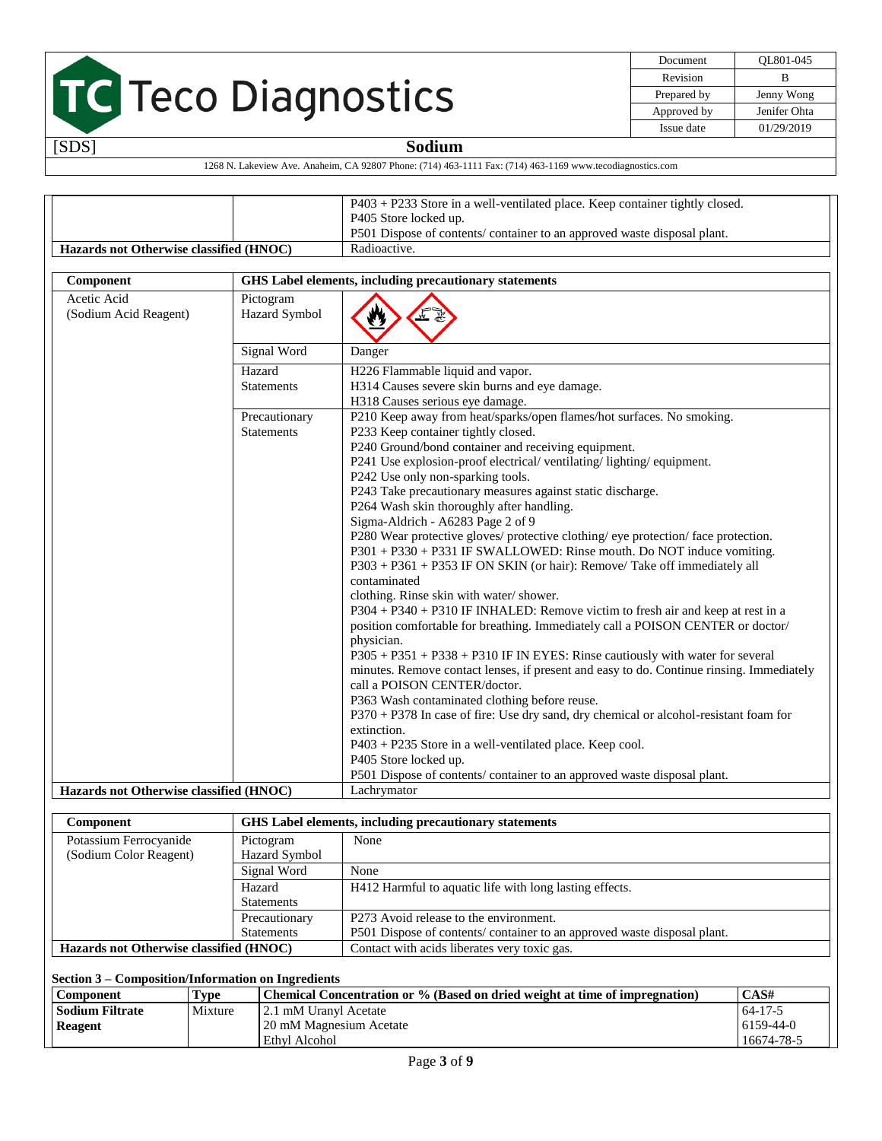[SDS] **Sodium**

| Document    | OL801-045    |
|-------------|--------------|
| Revision    | R            |
| Prepared by | Jenny Wong   |
| Approved by | Jenifer Ohta |
| Issue date  | 01/29/2019   |

| 1268 N. Lakeview Ave. Anaheim, CA 92807 Phone: (714) 463-1111 Fax: (714) 463-1169 www.tecodiagnostics.com |  |
|-----------------------------------------------------------------------------------------------------------|--|

|                                                                    |                             | P403 + P233 Store in a well-ventilated place. Keep container tightly closed.                                                                                                                                                                                                                                                                                                                                                                                                                                                                                                                                                                                                                                                                                                                                                                                                                                               |  |
|--------------------------------------------------------------------|-----------------------------|----------------------------------------------------------------------------------------------------------------------------------------------------------------------------------------------------------------------------------------------------------------------------------------------------------------------------------------------------------------------------------------------------------------------------------------------------------------------------------------------------------------------------------------------------------------------------------------------------------------------------------------------------------------------------------------------------------------------------------------------------------------------------------------------------------------------------------------------------------------------------------------------------------------------------|--|
|                                                                    |                             | P405 Store locked up.                                                                                                                                                                                                                                                                                                                                                                                                                                                                                                                                                                                                                                                                                                                                                                                                                                                                                                      |  |
|                                                                    |                             | P501 Dispose of contents/ container to an approved waste disposal plant.                                                                                                                                                                                                                                                                                                                                                                                                                                                                                                                                                                                                                                                                                                                                                                                                                                                   |  |
| Hazards not Otherwise classified (HNOC)                            |                             | Radioactive.                                                                                                                                                                                                                                                                                                                                                                                                                                                                                                                                                                                                                                                                                                                                                                                                                                                                                                               |  |
|                                                                    |                             |                                                                                                                                                                                                                                                                                                                                                                                                                                                                                                                                                                                                                                                                                                                                                                                                                                                                                                                            |  |
| Component                                                          |                             | GHS Label elements, including precautionary statements                                                                                                                                                                                                                                                                                                                                                                                                                                                                                                                                                                                                                                                                                                                                                                                                                                                                     |  |
| Pictogram<br>Acetic Acid<br>Hazard Symbol<br>(Sodium Acid Reagent) |                             |                                                                                                                                                                                                                                                                                                                                                                                                                                                                                                                                                                                                                                                                                                                                                                                                                                                                                                                            |  |
|                                                                    | Signal Word                 | Danger                                                                                                                                                                                                                                                                                                                                                                                                                                                                                                                                                                                                                                                                                                                                                                                                                                                                                                                     |  |
|                                                                    | Hazard<br><b>Statements</b> | H226 Flammable liquid and vapor.<br>H314 Causes severe skin burns and eye damage.<br>H318 Causes serious eye damage.                                                                                                                                                                                                                                                                                                                                                                                                                                                                                                                                                                                                                                                                                                                                                                                                       |  |
| Precautionary<br><b>Statements</b>                                 |                             | P210 Keep away from heat/sparks/open flames/hot surfaces. No smoking.<br>P233 Keep container tightly closed.<br>P240 Ground/bond container and receiving equipment.<br>P241 Use explosion-proof electrical/ventilating/lighting/equipment.<br>P242 Use only non-sparking tools.<br>P243 Take precautionary measures against static discharge.<br>P264 Wash skin thoroughly after handling.<br>Sigma-Aldrich - A6283 Page 2 of 9<br>P280 Wear protective gloves/ protective clothing/ eye protection/ face protection.<br>P301 + P330 + P331 IF SWALLOWED: Rinse mouth. Do NOT induce vomiting.<br>P303 + P361 + P353 IF ON SKIN (or hair): Remove/ Take off immediately all<br>contaminated<br>clothing. Rinse skin with water/shower.<br>P304 + P340 + P310 IF INHALED: Remove victim to fresh air and keep at rest in a<br>position comfortable for breathing. Immediately call a POISON CENTER or doctor/<br>physician. |  |
|                                                                    |                             | $P305 + P351 + P338 + P310$ IF IN EYES: Rinse cautiously with water for several<br>minutes. Remove contact lenses, if present and easy to do. Continue rinsing. Immediately<br>call a POISON CENTER/doctor.<br>P363 Wash contaminated clothing before reuse.<br>P370 + P378 In case of fire: Use dry sand, dry chemical or alcohol-resistant foam for<br>extinction.<br>$P403 + P235$ Store in a well-ventilated place. Keep cool.<br>P405 Store locked up.                                                                                                                                                                                                                                                                                                                                                                                                                                                                |  |
| Hazards not Otherwise classified (HNOC)                            |                             | P501 Dispose of contents/ container to an approved waste disposal plant.<br>Lachrymator                                                                                                                                                                                                                                                                                                                                                                                                                                                                                                                                                                                                                                                                                                                                                                                                                                    |  |
|                                                                    |                             |                                                                                                                                                                                                                                                                                                                                                                                                                                                                                                                                                                                                                                                                                                                                                                                                                                                                                                                            |  |

| Component                               |                      | <b>GHS</b> Label elements, including precautionary statements           |
|-----------------------------------------|----------------------|-------------------------------------------------------------------------|
| Potassium Ferrocyanide                  | Pictogram            | None                                                                    |
| (Sodium Color Reagent)                  | <b>Hazard Symbol</b> |                                                                         |
|                                         | Signal Word          | None                                                                    |
| Hazard                                  |                      | H412 Harmful to aquatic life with long lasting effects.                 |
| <b>Statements</b>                       |                      |                                                                         |
|                                         | Precautionary        | P273 Avoid release to the environment.                                  |
|                                         | <b>Statements</b>    | P501 Dispose of contents/container to an approved waste disposal plant. |
| Hazards not Otherwise classified (HNOC) |                      | Contact with acids liberates very toxic gas.                            |

| Section 3 – Composition/Information on Ingredients                                                 |  |                         |                 |  |  |
|----------------------------------------------------------------------------------------------------|--|-------------------------|-----------------|--|--|
| Chemical Concentration or % (Based on dried weight at time of impregnation)<br>Type<br>  Component |  |                         |                 |  |  |
| Mixture<br><b>Sodium Filtrate</b>                                                                  |  | 12.1 mM Uranyl Acetate  | $64 - 17 - 5$   |  |  |
| <b>Reagent</b>                                                                                     |  | 20 mM Magnesium Acetate | $6159 - 44 - 0$ |  |  |
|                                                                                                    |  | Ethyl Alcohol           | 16674-78-5      |  |  |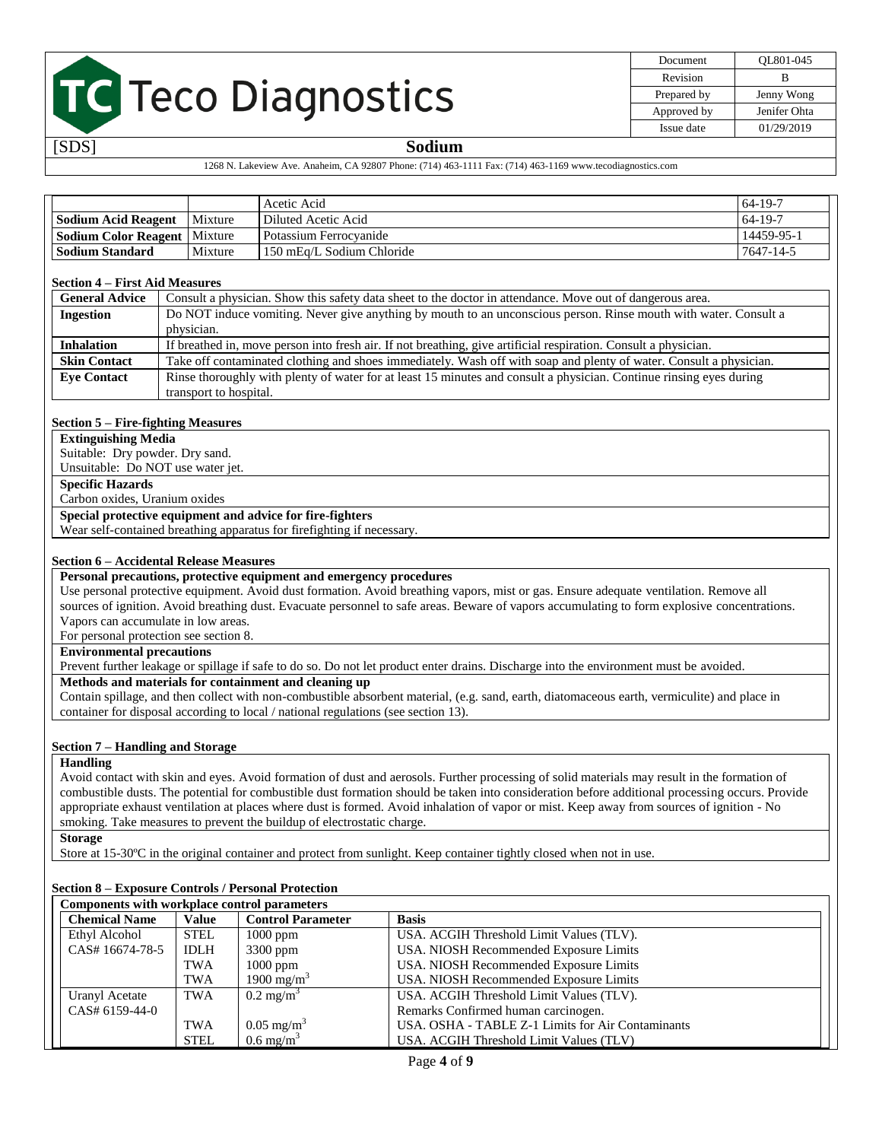| Document    | OL801-045    |
|-------------|--------------|
| Revision    | R            |
| Prepared by | Jenny Wong   |
| Approved by | Jenifer Ohta |
| Issue date  | 01/29/2019   |

#### [SDS] **Sodium**

#### 1268 N. Lakeview Ave. Anaheim, CA 92807 Phone: (714) 463-1111 Fax: (714) 463-1169 www.tecodiagnostics.com

|                                       |         | Acetic Acid<br>$164-19-7$ |            |
|---------------------------------------|---------|---------------------------|------------|
| Mixture<br><b>Sodium Acid Reagent</b> |         | Diluted Acetic Acid       | $164-19-7$ |
| <b>Sodium Color Reagent   Mixture</b> |         | l Potassium Ferrocvanide  | 14459-95-1 |
| <b>Sodium Standard</b>                | Mixture | 150 mEq/L Sodium Chloride | 7647-14-5  |

#### **Section 4 – First Aid Measures**

| <b>General Advice</b> | Consult a physician. Show this safety data sheet to the doctor in attendance. Move out of dangerous area.           |  |  |
|-----------------------|---------------------------------------------------------------------------------------------------------------------|--|--|
| <b>Ingestion</b>      | Do NOT induce vomiting. Never give anything by mouth to an unconscious person. Rinse mouth with water. Consult a    |  |  |
|                       | physician.                                                                                                          |  |  |
| <b>Inhalation</b>     | If breathed in, move person into fresh air. If not breathing, give artificial respiration. Consult a physician.     |  |  |
| <b>Skin Contact</b>   | Take off contaminated clothing and shoes immediately. Wash off with soap and plenty of water. Consult a physician.  |  |  |
| <b>Eve Contact</b>    | Rinse thoroughly with plenty of water for at least 15 minutes and consult a physician. Continue rinsing eyes during |  |  |
|                       | transport to hospital.                                                                                              |  |  |

#### **Section 5 – Fire-fighting Measures**

**Extinguishing Media**

Suitable: Dry powder. Dry sand. Unsuitable: Do NOT use water jet.

**Specific Hazards**

Carbon oxides, Uranium oxides

#### **Special protective equipment and advice for fire-fighters**

Wear self-contained breathing apparatus for firefighting if necessary.

#### **Section 6 – Accidental Release Measures**

**Personal precautions, protective equipment and emergency procedures**

Use personal protective equipment. Avoid dust formation. Avoid breathing vapors, mist or gas. Ensure adequate ventilation. Remove all sources of ignition. Avoid breathing dust. Evacuate personnel to safe areas. Beware of vapors accumulating to form explosive concentrations. Vapors can accumulate in low areas.

For personal protection see section 8.

#### **Environmental precautions**

Prevent further leakage or spillage if safe to do so. Do not let product enter drains. Discharge into the environment must be avoided.

#### **Methods and materials for containment and cleaning up**

Contain spillage, and then collect with non-combustible absorbent material, (e.g. sand, earth, diatomaceous earth, vermiculite) and place in container for disposal according to local / national regulations (see section 13).

#### **Section 7 – Handling and Storage**

**Handling**

Avoid contact with skin and eyes. Avoid formation of dust and aerosols. Further processing of solid materials may result in the formation of combustible dusts. The potential for combustible dust formation should be taken into consideration before additional processing occurs. Provide appropriate exhaust ventilation at places where dust is formed. Avoid inhalation of vapor or mist. Keep away from sources of ignition - No smoking. Take measures to prevent the buildup of electrostatic charge.

**Storage**

Store at 15-30ºC in the original container and protect from sunlight. Keep container tightly closed when not in use.

#### **Section 8 – Exposure Controls / Personal Protection**

|                      | Components with workplace control parameters |                                          |                                                   |  |  |
|----------------------|----------------------------------------------|------------------------------------------|---------------------------------------------------|--|--|
| <b>Chemical Name</b> | Value                                        | <b>Basis</b><br><b>Control Parameter</b> |                                                   |  |  |
| Ethyl Alcohol        | STEL                                         | $1000$ ppm                               | USA. ACGIH Threshold Limit Values (TLV).          |  |  |
| CAS# 16674-78-5      | <b>IDLH</b>                                  | $3300$ ppm                               | USA. NIOSH Recommended Exposure Limits            |  |  |
|                      | TWA                                          | $1000$ ppm                               | USA. NIOSH Recommended Exposure Limits            |  |  |
|                      | TWA                                          | 1900 mg/m <sup>3</sup>                   | USA. NIOSH Recommended Exposure Limits            |  |  |
| Uranyl Acetate       | <b>TWA</b>                                   | $0.2 \text{ mg/m}^3$                     | USA. ACGIH Threshold Limit Values (TLV).          |  |  |
| CAS# 6159-44-0       |                                              |                                          | Remarks Confirmed human carcinogen.               |  |  |
|                      | TWA                                          | $0.05 \text{ mg/m}^3$                    | USA, OSHA - TABLE Z-1 Limits for Air Contaminants |  |  |
|                      | <b>STEL</b>                                  | $0.6 \text{ mg/m}^3$                     | USA. ACGIH Threshold Limit Values (TLV)           |  |  |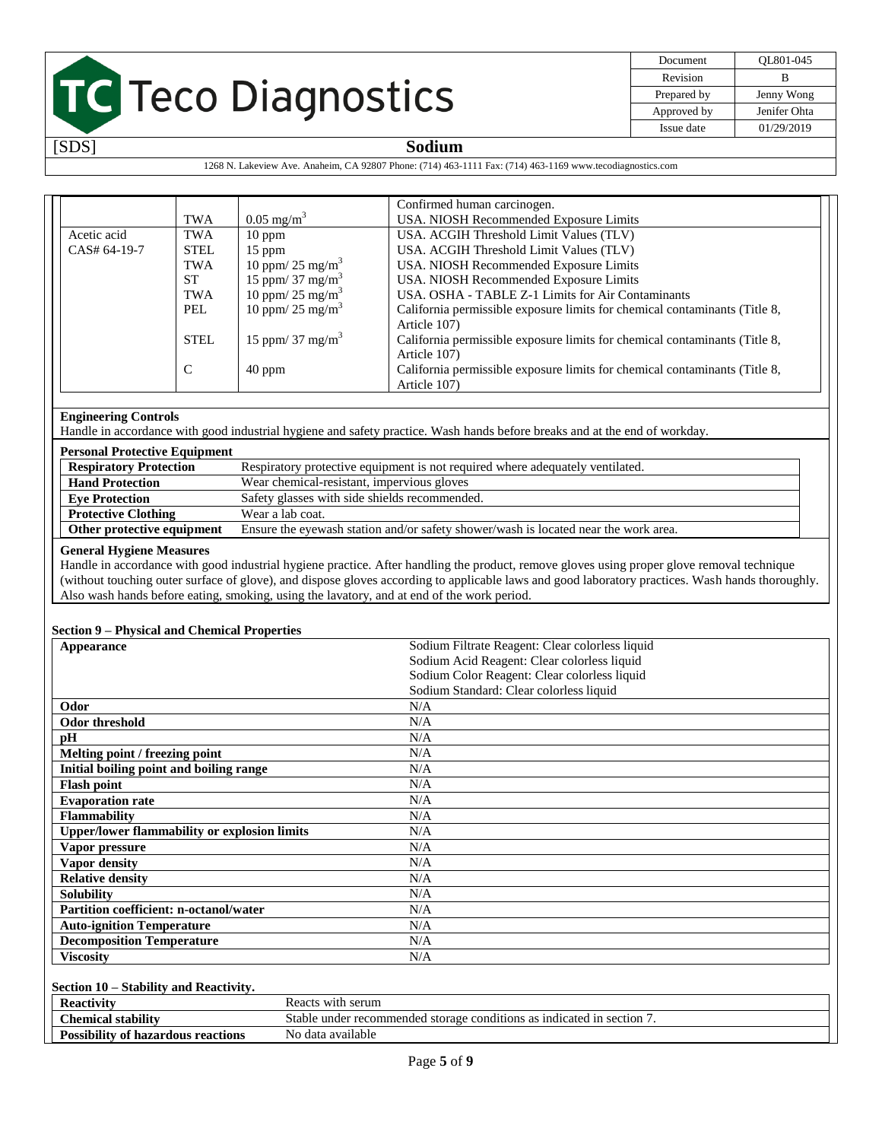| Document    | OL801-045    |
|-------------|--------------|
| Revision    | в            |
| Prepared by | Jenny Wong   |
| Approved by | Jenifer Ohta |
| Issue date  | 01/29/2019   |

### [SDS] **Sodium**

1268 N. Lakeview Ave. Anaheim, CA 92807 Phone: (714) 463-1111 Fax: (714) 463-1169 www.tecodiagnostics.com

|              |               |                              | Confirmed human carcinogen.                                                |
|--------------|---------------|------------------------------|----------------------------------------------------------------------------|
|              | <b>TWA</b>    | $0.05 \text{ mg/m}^3$        | USA. NIOSH Recommended Exposure Limits                                     |
| Acetic acid  | <b>TWA</b>    | $10$ ppm                     | USA. ACGIH Threshold Limit Values (TLV)                                    |
| CAS# 64-19-7 | <b>STEL</b>   | $15$ ppm                     | USA. ACGIH Threshold Limit Values (TLV)                                    |
|              | <b>TWA</b>    | 10 ppm/ 25 mg/m <sup>3</sup> | USA. NIOSH Recommended Exposure Limits                                     |
|              | <b>ST</b>     | 15 ppm/ 37 mg/m <sup>3</sup> | USA. NIOSH Recommended Exposure Limits                                     |
|              | <b>TWA</b>    | 10 ppm/ 25 mg/m <sup>3</sup> | USA. OSHA - TABLE Z-1 Limits for Air Contaminants                          |
|              | PEL           | 10 ppm/ 25 mg/m <sup>3</sup> | California permissible exposure limits for chemical contaminants (Title 8, |
|              |               |                              | Article 107)                                                               |
|              | <b>STEL</b>   | 15 ppm/ 37 mg/m <sup>3</sup> | California permissible exposure limits for chemical contaminants (Title 8, |
|              |               |                              | Article 107)                                                               |
|              | $\mathcal{C}$ | $40$ ppm                     | California permissible exposure limits for chemical contaminants (Title 8, |
|              |               |                              | Article 107)                                                               |

#### **Engineering Controls**

Handle in accordance with good industrial hygiene and safety practice. Wash hands before breaks and at the end of workday.

#### **Personal Protective Equipment**

| <b>Respiratory Protection</b> | Respiratory protective equipment is not required where adequately ventilated.       |
|-------------------------------|-------------------------------------------------------------------------------------|
| <b>Hand Protection</b>        | Wear chemical-resistant, impervious gloves                                          |
| <b>Eve Protection</b>         | Safety glasses with side shields recommended.                                       |
| <b>Protective Clothing</b>    | Wear a lab coat.                                                                    |
| Other protective equipment    | Ensure the eyewash station and/or safety shower/wash is located near the work area. |

#### **General Hygiene Measures**

Handle in accordance with good industrial hygiene practice. After handling the product, remove gloves using proper glove removal technique (without touching outer surface of glove), and dispose gloves according to applicable laws and good laboratory practices. Wash hands thoroughly. Also wash hands before eating, smoking, using the lavatory, and at end of the work period.

#### **Section 9 – Physical and Chemical Properties**

| Appearance                                          | Sodium Filtrate Reagent: Clear colorless liquid                        |
|-----------------------------------------------------|------------------------------------------------------------------------|
|                                                     | Sodium Acid Reagent: Clear colorless liquid                            |
|                                                     | Sodium Color Reagent: Clear colorless liquid                           |
|                                                     | Sodium Standard: Clear colorless liquid                                |
| Odor                                                | N/A                                                                    |
| <b>Odor threshold</b>                               | N/A                                                                    |
| pH                                                  | N/A                                                                    |
| Melting point / freezing point                      | N/A                                                                    |
| Initial boiling point and boiling range             | N/A                                                                    |
| <b>Flash point</b>                                  | N/A                                                                    |
| <b>Evaporation rate</b>                             | N/A                                                                    |
| <b>Flammability</b>                                 | N/A                                                                    |
| <b>Upper/lower flammability or explosion limits</b> | N/A                                                                    |
| Vapor pressure                                      | N/A                                                                    |
| Vapor density                                       | N/A                                                                    |
| <b>Relative density</b>                             | N/A                                                                    |
| <b>Solubility</b>                                   | N/A                                                                    |
| Partition coefficient: n-octanol/water              | N/A                                                                    |
| <b>Auto-ignition Temperature</b>                    | N/A                                                                    |
| <b>Decomposition Temperature</b>                    | N/A                                                                    |
| <b>Viscosity</b>                                    | N/A                                                                    |
|                                                     |                                                                        |
| Section 10 – Stability and Reactivity.              |                                                                        |
| <b>Reactivity</b>                                   | Reacts with serum                                                      |
| <b>Chemical stability</b>                           | Stable under recommended storage conditions as indicated in section 7. |
| <b>Possibility of hazardous reactions</b>           | No data available                                                      |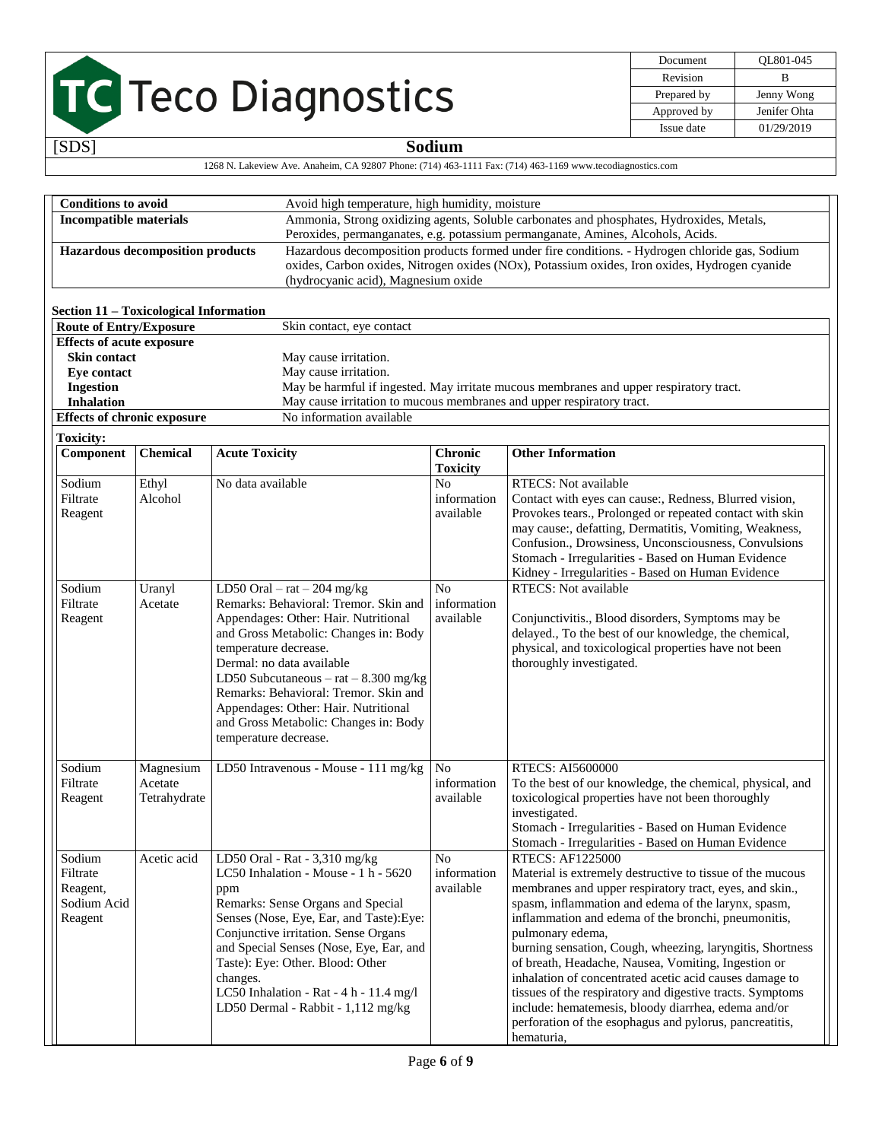| Document    | OL801-045    |
|-------------|--------------|
| Revision    | R            |
| Prepared by | Jenny Wong   |
| Approved by | Jenifer Ohta |
| Issue date  | 01/29/2019   |

|                                                                          |                                         |                                                                                                           |                                   |                                                                                                                | $i$ approved by | venner oma |
|--------------------------------------------------------------------------|-----------------------------------------|-----------------------------------------------------------------------------------------------------------|-----------------------------------|----------------------------------------------------------------------------------------------------------------|-----------------|------------|
|                                                                          |                                         |                                                                                                           |                                   |                                                                                                                | Issue date      | 01/29/2019 |
| [SDS]                                                                    |                                         |                                                                                                           | Sodium                            |                                                                                                                |                 |            |
|                                                                          |                                         | 1268 N. Lakeview Ave. Anaheim, CA 92807 Phone: (714) 463-1111 Fax: (714) 463-1169 www.tecodiagnostics.com |                                   |                                                                                                                |                 |            |
|                                                                          |                                         |                                                                                                           |                                   |                                                                                                                |                 |            |
| <b>Conditions to avoid</b>                                               |                                         | Avoid high temperature, high humidity, moisture                                                           |                                   |                                                                                                                |                 |            |
| <b>Incompatible materials</b>                                            |                                         | Ammonia, Strong oxidizing agents, Soluble carbonates and phosphates, Hydroxides, Metals,                  |                                   |                                                                                                                |                 |            |
|                                                                          |                                         | Peroxides, permanganates, e.g. potassium permanganate, Amines, Alcohols, Acids.                           |                                   |                                                                                                                |                 |            |
|                                                                          | <b>Hazardous decomposition products</b> | Hazardous decomposition products formed under fire conditions. - Hydrogen chloride gas, Sodium            |                                   |                                                                                                                |                 |            |
|                                                                          |                                         | oxides, Carbon oxides, Nitrogen oxides (NOx), Potassium oxides, Iron oxides, Hydrogen cyanide             |                                   |                                                                                                                |                 |            |
|                                                                          |                                         | (hydrocyanic acid), Magnesium oxide                                                                       |                                   |                                                                                                                |                 |            |
|                                                                          |                                         |                                                                                                           |                                   |                                                                                                                |                 |            |
| Section 11 - Toxicological Information<br><b>Route of Entry/Exposure</b> |                                         | Skin contact, eye contact                                                                                 |                                   |                                                                                                                |                 |            |
| <b>Effects of acute exposure</b>                                         |                                         |                                                                                                           |                                   |                                                                                                                |                 |            |
| <b>Skin contact</b>                                                      |                                         | May cause irritation.                                                                                     |                                   |                                                                                                                |                 |            |
| Eye contact                                                              |                                         | May cause irritation.                                                                                     |                                   |                                                                                                                |                 |            |
| <b>Ingestion</b>                                                         |                                         | May be harmful if ingested. May irritate mucous membranes and upper respiratory tract.                    |                                   |                                                                                                                |                 |            |
| <b>Inhalation</b>                                                        |                                         | May cause irritation to mucous membranes and upper respiratory tract.                                     |                                   |                                                                                                                |                 |            |
| <b>Effects of chronic exposure</b>                                       |                                         | No information available                                                                                  |                                   |                                                                                                                |                 |            |
| <b>Toxicity:</b>                                                         |                                         |                                                                                                           |                                   |                                                                                                                |                 |            |
| Component                                                                | <b>Chemical</b>                         | <b>Acute Toxicity</b>                                                                                     | <b>Chronic</b><br><b>Toxicity</b> | <b>Other Information</b>                                                                                       |                 |            |
| Sodium                                                                   | Ethyl                                   | No data available                                                                                         | N <sub>o</sub>                    | <b>RTECS:</b> Not available                                                                                    |                 |            |
| Filtrate                                                                 | Alcohol                                 |                                                                                                           | information                       | Contact with eyes can cause:, Redness, Blurred vision,                                                         |                 |            |
| Reagent                                                                  |                                         |                                                                                                           | available                         | Provokes tears., Prolonged or repeated contact with skin                                                       |                 |            |
|                                                                          |                                         |                                                                                                           |                                   | may cause:, defatting, Dermatitis, Vomiting, Weakness,<br>Confusion., Drowsiness, Unconsciousness, Convulsions |                 |            |
|                                                                          |                                         |                                                                                                           |                                   | Stomach - Irregularities - Based on Human Evidence                                                             |                 |            |
|                                                                          |                                         |                                                                                                           |                                   | Kidney - Irregularities - Based on Human Evidence                                                              |                 |            |
| Sodium                                                                   | Uranyl                                  | LD50 Oral $-$ rat $-$ 204 mg/kg                                                                           | N <sub>0</sub>                    | <b>RTECS:</b> Not available                                                                                    |                 |            |
| Filtrate                                                                 | Acetate                                 | Remarks: Behavioral: Tremor. Skin and                                                                     | information                       |                                                                                                                |                 |            |
| Reagent                                                                  |                                         | Appendages: Other: Hair. Nutritional                                                                      | available                         | Conjunctivitis., Blood disorders, Symptoms may be                                                              |                 |            |
|                                                                          |                                         | and Gross Metabolic: Changes in: Body                                                                     |                                   | delayed., To the best of our knowledge, the chemical,                                                          |                 |            |
|                                                                          |                                         | temperature decrease.                                                                                     |                                   | physical, and toxicological properties have not been                                                           |                 |            |
|                                                                          |                                         | Dermal: no data available<br>LD50 Subcutaneous $-$ rat $-8.300$ mg/kg                                     |                                   | thoroughly investigated.                                                                                       |                 |            |
|                                                                          |                                         | Remarks: Behavioral: Tremor. Skin and                                                                     |                                   |                                                                                                                |                 |            |
|                                                                          |                                         | Appendages: Other: Hair. Nutritional                                                                      |                                   |                                                                                                                |                 |            |
|                                                                          |                                         | and Gross Metabolic: Changes in: Body                                                                     |                                   |                                                                                                                |                 |            |
|                                                                          |                                         | temperature decrease.                                                                                     |                                   |                                                                                                                |                 |            |
|                                                                          |                                         |                                                                                                           |                                   |                                                                                                                |                 |            |
| Sodium                                                                   | Magnesium                               | LD50 Intravenous - Mouse - 111 mg/kg                                                                      | No                                | RTECS: AI5600000                                                                                               |                 |            |
| Filtrate<br>Reagent                                                      | Acetate<br>Tetrahydrate                 |                                                                                                           | information<br>available          | To the best of our knowledge, the chemical, physical, and<br>toxicological properties have not been thoroughly |                 |            |
|                                                                          |                                         |                                                                                                           |                                   | investigated.                                                                                                  |                 |            |
|                                                                          |                                         |                                                                                                           |                                   | Stomach - Irregularities - Based on Human Evidence                                                             |                 |            |
|                                                                          |                                         |                                                                                                           |                                   | Stomach - Irregularities - Based on Human Evidence                                                             |                 |            |
| Sodium                                                                   | Acetic acid                             | LD50 Oral - Rat - 3,310 mg/kg                                                                             | N <sub>o</sub>                    | <b>RTECS: AF1225000</b>                                                                                        |                 |            |
| Filtrate                                                                 |                                         | LC50 Inhalation - Mouse - 1 h - 5620                                                                      | information                       | Material is extremely destructive to tissue of the mucous                                                      |                 |            |
| Reagent,                                                                 |                                         | ppm                                                                                                       | available                         | membranes and upper respiratory tract, eyes, and skin.,                                                        |                 |            |
| Sodium Acid                                                              |                                         | Remarks: Sense Organs and Special                                                                         |                                   | spasm, inflammation and edema of the larynx, spasm,                                                            |                 |            |
| Reagent                                                                  |                                         | Senses (Nose, Eye, Ear, and Taste): Eye:<br>Conjunctive irritation. Sense Organs                          |                                   | inflammation and edema of the bronchi, pneumonitis,<br>pulmonary edema,                                        |                 |            |
|                                                                          |                                         | and Special Senses (Nose, Eye, Ear, and                                                                   |                                   | burning sensation, Cough, wheezing, laryngitis, Shortness                                                      |                 |            |
|                                                                          |                                         | Taste): Eye: Other. Blood: Other                                                                          |                                   | of breath, Headache, Nausea, Vomiting, Ingestion or                                                            |                 |            |
|                                                                          |                                         | changes.                                                                                                  |                                   | inhalation of concentrated acetic acid causes damage to                                                        |                 |            |

hematuria,

tissues of the respiratory and digestive tracts. Symptoms include: hematemesis, bloody diarrhea, edema and/or perforation of the esophagus and pylorus, pancreatitis,

LC50 Inhalation - Rat - 4 h - 11.4 mg/l LD50 Dermal - Rabbit - 1,112 mg/kg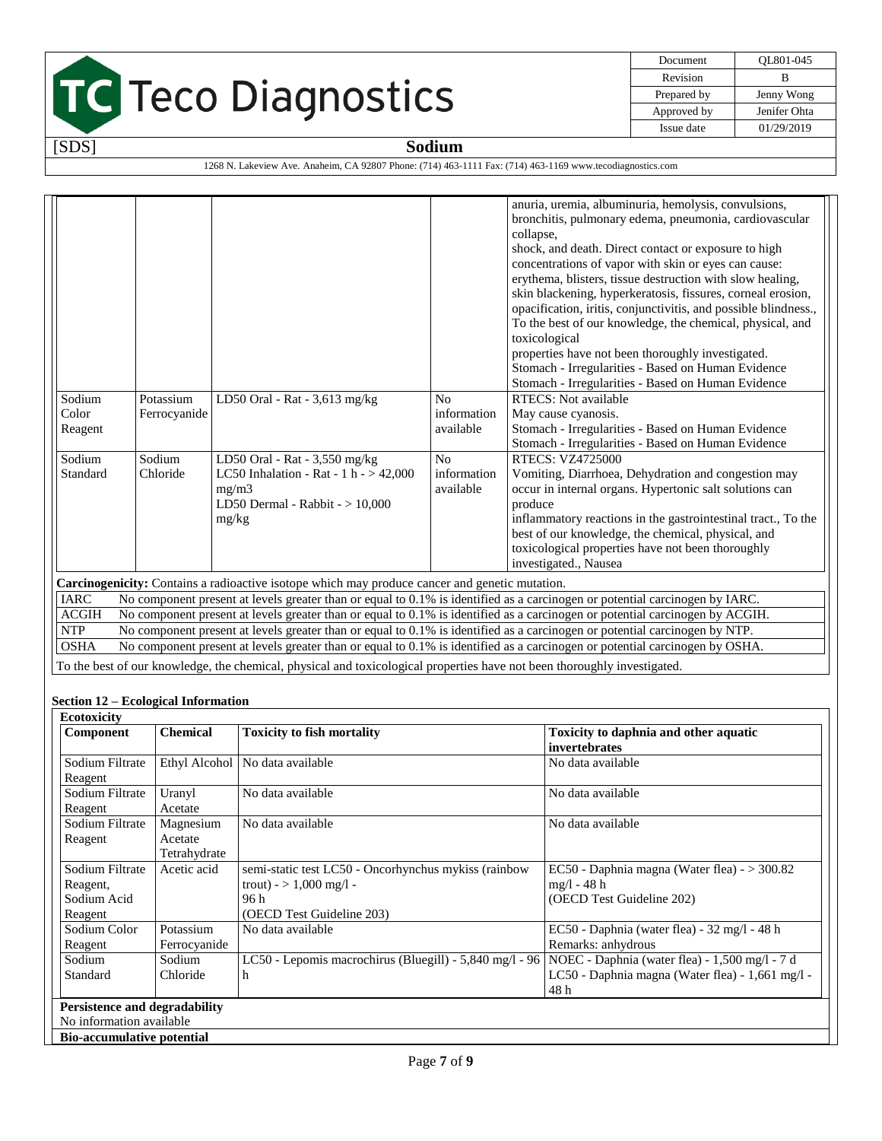

| Document    | OL801-045    |
|-------------|--------------|
| Revision    | R            |
| Prepared by | Jenny Wong   |
| Approved by | Jenifer Ohta |
| Issue date  | 01/29/2019   |

1268 N. Lakeview Ave. Anaheim, CA 92807 Phone: (714) 463-1111 Fax: (714) 463-1169 www.tecodiagnostics.com

|              |                                                                                                                             |                                                                                                |                | anuria, uremia, albuminuria, hemolysis, convulsions,                                                                         |  |
|--------------|-----------------------------------------------------------------------------------------------------------------------------|------------------------------------------------------------------------------------------------|----------------|------------------------------------------------------------------------------------------------------------------------------|--|
|              |                                                                                                                             |                                                                                                |                | bronchitis, pulmonary edema, pneumonia, cardiovascular                                                                       |  |
|              |                                                                                                                             |                                                                                                |                | collapse,                                                                                                                    |  |
|              |                                                                                                                             |                                                                                                |                | shock, and death. Direct contact or exposure to high                                                                         |  |
|              |                                                                                                                             |                                                                                                |                | concentrations of vapor with skin or eyes can cause:                                                                         |  |
|              |                                                                                                                             |                                                                                                |                | erythema, blisters, tissue destruction with slow healing,                                                                    |  |
|              |                                                                                                                             |                                                                                                |                | skin blackening, hyperkeratosis, fissures, corneal erosion,                                                                  |  |
|              |                                                                                                                             |                                                                                                |                | opacification, iritis, conjunctivitis, and possible blindness.,                                                              |  |
|              |                                                                                                                             |                                                                                                |                | To the best of our knowledge, the chemical, physical, and                                                                    |  |
|              |                                                                                                                             |                                                                                                |                | toxicological                                                                                                                |  |
|              |                                                                                                                             |                                                                                                |                | properties have not been thoroughly investigated.                                                                            |  |
|              |                                                                                                                             |                                                                                                |                | Stomach - Irregularities - Based on Human Evidence                                                                           |  |
|              |                                                                                                                             |                                                                                                |                | Stomach - Irregularities - Based on Human Evidence                                                                           |  |
| Sodium       | Potassium                                                                                                                   | LD50 Oral - Rat - 3,613 mg/kg                                                                  | N <sub>0</sub> | RTECS: Not available                                                                                                         |  |
| Color        | Ferrocyanide                                                                                                                |                                                                                                | information    | May cause cyanosis.                                                                                                          |  |
| Reagent      |                                                                                                                             |                                                                                                | available      | Stomach - Irregularities - Based on Human Evidence                                                                           |  |
|              |                                                                                                                             |                                                                                                |                | Stomach - Irregularities - Based on Human Evidence                                                                           |  |
| Sodium       | Sodium<br>RTECS: VZ4725000<br>No<br>LD50 Oral - Rat - 3,550 mg/kg                                                           |                                                                                                |                |                                                                                                                              |  |
| Standard     | LC50 Inhalation - Rat - 1 h - $> 42,000$<br>Chloride<br>information<br>Vomiting, Diarrhoea, Dehydration and congestion may  |                                                                                                |                |                                                                                                                              |  |
|              |                                                                                                                             | mg/m3                                                                                          | available      | occur in internal organs. Hypertonic salt solutions can                                                                      |  |
|              |                                                                                                                             | LD50 Dermal - Rabbit - > 10,000                                                                |                | produce                                                                                                                      |  |
|              |                                                                                                                             | mg/kg                                                                                          |                | inflammatory reactions in the gastrointestinal tract., To the                                                                |  |
|              |                                                                                                                             |                                                                                                |                | best of our knowledge, the chemical, physical, and                                                                           |  |
|              |                                                                                                                             |                                                                                                |                | toxicological properties have not been thoroughly                                                                            |  |
|              |                                                                                                                             |                                                                                                |                | investigated., Nausea                                                                                                        |  |
|              |                                                                                                                             | Carcinogenicity: Contains a radioactive isotope which may produce cancer and genetic mutation. |                |                                                                                                                              |  |
| <b>IARC</b>  |                                                                                                                             |                                                                                                |                | No component present at levels greater than or equal to 0.1% is identified as a carcinogen or potential carcinogen by IARC.  |  |
| <b>ACGIH</b> |                                                                                                                             |                                                                                                |                | No component present at levels greater than or equal to 0.1% is identified as a carcinogen or potential carcinogen by ACGIH. |  |
| <b>NTP</b>   |                                                                                                                             |                                                                                                |                | No component present at levels greater than or equal to 0.1% is identified as a carcinogen or potential carcinogen by NTP.   |  |
| <b>OSHA</b>  | No component present at levels greater than or equal to 0.1% is identified as a carcinogen or potential carcinogen by OSHA. |                                                                                                |                |                                                                                                                              |  |
|              | To the best of our knowledge, the chemical, physical and toxicological properties have not been thoroughly investigated.    |                                                                                                |                |                                                                                                                              |  |

#### **Section 12 – Ecological Information**

| <b>Ecotoxicity</b>                   |                 |                                                         |                                                  |
|--------------------------------------|-----------------|---------------------------------------------------------|--------------------------------------------------|
| Component                            | <b>Chemical</b> | <b>Toxicity to fish mortality</b>                       | Toxicity to daphnia and other aquatic            |
|                                      |                 |                                                         | invertebrates                                    |
| Sodium Filtrate                      |                 | Ethyl Alcohol   No data available                       | No data available                                |
| Reagent                              |                 |                                                         |                                                  |
| Sodium Filtrate                      | Uranyl          | No data available                                       | No data available                                |
| Reagent                              | Acetate         |                                                         |                                                  |
| Sodium Filtrate                      | Magnesium       | No data available                                       | No data available                                |
| Reagent                              | Acetate         |                                                         |                                                  |
|                                      | Tetrahydrate    |                                                         |                                                  |
| Sodium Filtrate                      | Acetic acid     | semi-static test LC50 - Oncorhynchus mykiss (rainbow    | EC50 - Daphnia magna (Water flea) - $>$ 300.82   |
| Reagent,                             |                 | trout) - $> 1,000$ mg/l -                               | mg/l - 48 h                                      |
| Sodium Acid                          |                 | 96 h                                                    | (OECD Test Guideline 202)                        |
| Reagent                              |                 | (OECD Test Guideline 203)                               |                                                  |
| Sodium Color                         | Potassium       | No data available                                       | $EC50$ - Daphnia (water flea) - 32 mg/l - 48 h   |
| Reagent                              | Ferrocyanide    |                                                         | Remarks: anhydrous                               |
| Sodium                               | Sodium          | LC50 - Lepomis macrochirus (Bluegill) - 5,840 mg/l - 96 | NOEC - Daphnia (water flea) - 1,500 mg/l - 7 d   |
| Standard                             | Chloride        | h                                                       | LC50 - Daphnia magna (Water flea) - 1,661 mg/l - |
|                                      |                 |                                                         | 48 h                                             |
| <b>Persistence and degradability</b> |                 |                                                         |                                                  |
| No information available             |                 |                                                         |                                                  |
| <b>Bio-accumulative potential</b>    |                 |                                                         |                                                  |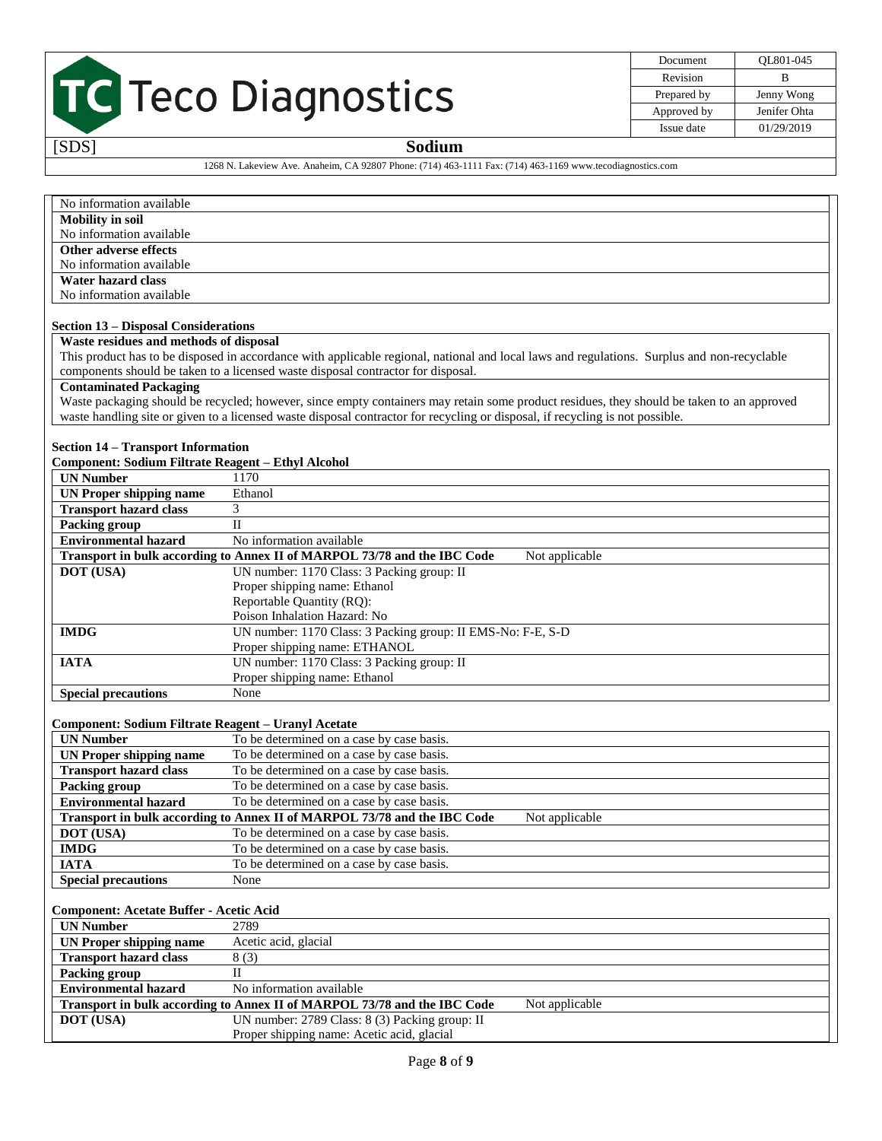| Document    | OL801-045    |
|-------------|--------------|
| Revision    | R            |
| Prepared by | Jenny Wong   |
| Approved by | Jenifer Ohta |
| Issue date  | 01/29/2019   |

### [SDS] **Sodium**

1268 N. Lakeview Ave. Anaheim, CA 92807 Phone: (714) 463-1111 Fax: (714) 463-1169 www.tecodiagnostics.com

| No information available                                  |                                                                                                                                             |  |  |
|-----------------------------------------------------------|---------------------------------------------------------------------------------------------------------------------------------------------|--|--|
| <b>Mobility</b> in soil                                   |                                                                                                                                             |  |  |
| No information available                                  |                                                                                                                                             |  |  |
| <b>Other adverse effects</b>                              |                                                                                                                                             |  |  |
| No information available                                  |                                                                                                                                             |  |  |
| <b>Water hazard class</b>                                 |                                                                                                                                             |  |  |
| No information available                                  |                                                                                                                                             |  |  |
|                                                           |                                                                                                                                             |  |  |
| <b>Section 13 – Disposal Considerations</b>               |                                                                                                                                             |  |  |
| Waste residues and methods of disposal                    |                                                                                                                                             |  |  |
|                                                           | This product has to be disposed in accordance with applicable regional, national and local laws and regulations. Surplus and non-recyclable |  |  |
|                                                           | components should be taken to a licensed waste disposal contractor for disposal.                                                            |  |  |
| <b>Contaminated Packaging</b>                             |                                                                                                                                             |  |  |
|                                                           | Waste packaging should be recycled; however, since empty containers may retain some product residues, they should be taken to an approved   |  |  |
|                                                           | waste handling site or given to a licensed waste disposal contractor for recycling or disposal, if recycling is not possible.               |  |  |
|                                                           |                                                                                                                                             |  |  |
| <b>Section 14 - Transport Information</b>                 |                                                                                                                                             |  |  |
| <b>Component: Sodium Filtrate Reagent - Ethyl Alcohol</b> |                                                                                                                                             |  |  |
| <b>UN Number</b>                                          | 1170                                                                                                                                        |  |  |
| <b>UN Proper shipping name</b>                            | Ethanol                                                                                                                                     |  |  |
| <b>Transport hazard class</b>                             | 3                                                                                                                                           |  |  |
| <b>Packing group</b>                                      | $\overline{\mathbf{H}}$                                                                                                                     |  |  |
| Environmental hazard                                      | No information available                                                                                                                    |  |  |
|                                                           | Transport in bulk according to Annex II of MARPOL 73/78 and the IBC Code<br>Not applicable                                                  |  |  |
| DOT (USA)                                                 | UN number: 1170 Class: 3 Packing group: II                                                                                                  |  |  |
|                                                           | Proper shipping name: Ethanol                                                                                                               |  |  |
|                                                           | Reportable Quantity (RQ):                                                                                                                   |  |  |
|                                                           | Poison Inhalation Hazard: No                                                                                                                |  |  |
| <b>IMDG</b>                                               | UN number: 1170 Class: 3 Packing group: II EMS-No: F-E, S-D                                                                                 |  |  |
|                                                           | Proper shipping name: ETHANOL                                                                                                               |  |  |
| <b>IATA</b>                                               | UN number: 1170 Class: 3 Packing group: II                                                                                                  |  |  |
|                                                           | Proper shipping name: Ethanol                                                                                                               |  |  |
| <b>Special precautions</b>                                | None                                                                                                                                        |  |  |
|                                                           |                                                                                                                                             |  |  |
| Component: Sodium Filtrate Reagent - Uranyl Acetate       |                                                                                                                                             |  |  |
| <b>UN Number</b>                                          | To be determined on a case by case basis.                                                                                                   |  |  |
| <b>UN Proper shipping name</b>                            | To be determined on a case by case basis.                                                                                                   |  |  |
| <b>Transport hazard class</b>                             | To be determined on a case by case basis.                                                                                                   |  |  |
| <b>Packing group</b>                                      | To be determined on a case by case basis.                                                                                                   |  |  |
| <b>Environmental hazard</b>                               | To be determined on a case by case basis.                                                                                                   |  |  |
|                                                           | Transport in bulk according to Annex II of MARPOL 73/78 and the IBC Code<br>Not applicable                                                  |  |  |
| DOT (USA)                                                 |                                                                                                                                             |  |  |
|                                                           | To be determined on a case by case basis.                                                                                                   |  |  |
| <b>IMDG</b><br><b>IATA</b>                                | To be determined on a case by case basis.<br>To be determined on a case by case basis.                                                      |  |  |
|                                                           | None                                                                                                                                        |  |  |
| <b>Special precautions</b>                                |                                                                                                                                             |  |  |
|                                                           |                                                                                                                                             |  |  |
| <b>Component: Acetate Buffer - Acetic Acid</b>            |                                                                                                                                             |  |  |
| <b>UN Number</b>                                          | 2789                                                                                                                                        |  |  |
| <b>UN Proper shipping name</b>                            | Acetic acid, glacial                                                                                                                        |  |  |
| <b>Transport hazard class</b>                             | 8(3)                                                                                                                                        |  |  |
| <b>Packing group</b>                                      | $\mathbf{I}$                                                                                                                                |  |  |
| <b>Environmental hazard</b><br>No information available   |                                                                                                                                             |  |  |
|                                                           | Transport in bulk according to Annex II of MARPOL 73/78 and the IBC Code<br>Not applicable                                                  |  |  |
| DOT (USA)                                                 | UN number: 2789 Class: 8 (3) Packing group: II                                                                                              |  |  |
|                                                           | Proper shipping name: Acetic acid, glacial                                                                                                  |  |  |